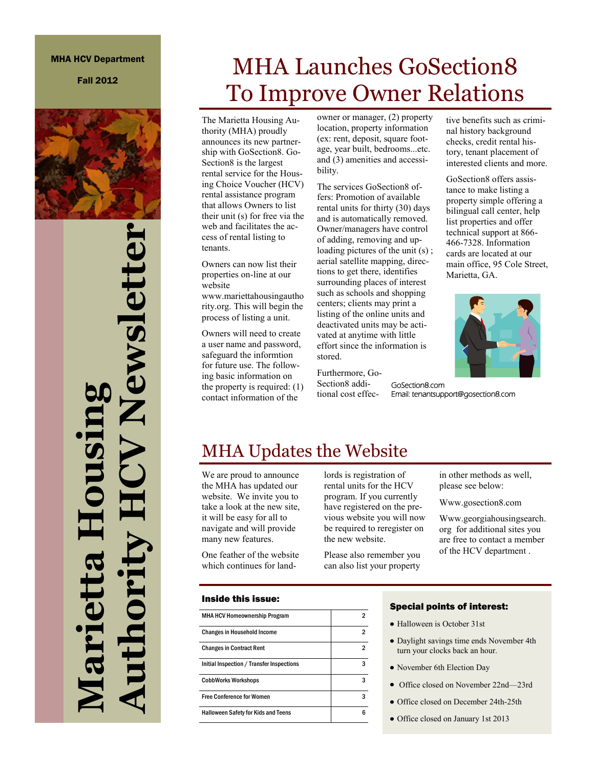#### MHA HCV Department

Fall 2012



**Authority HCV Newsletter** lewslett **Marietta Housing** 

# MHA Launches GoSection8 To Improve Owner Relations

The Marietta Housing Authority (MHA) proudly announces its new partnership with GoSection8. Go-Section8 is the largest rental service for the Housing Choice Voucher (HCV) rental assistance program that allows Owners to list their unit (s) for free via the web and facilitates the access of rental listing to tenants.

Owners can now list their properties on-line at our website

www.mariettahousingautho rity.org. This will begin the process of listing a unit.

Owners will need to create a user name and password, safeguard the informtion for future use. The following basic information on the property is required: (1) contact information of the

owner or manager, (2) property location, property information (ex: rent, deposit, square footage, year built, bedrooms...etc. and (3) amenities and accessibility.

The services GoSection8 offers: Promotion of available rental units for thirty (30) days and is automatically removed. Owner/managers have control of adding, removing and uploading pictures of the unit (s) ; aerial satellite mapping, directions to get there, identifies surrounding places of interest such as schools and shopping centers; clients may print a listing of the online units and deactivated units may be activated at anytime with little effort since the information is stored.

Furthermore, Go-Section8 additional cost effec-

tive benefits such as criminal history background checks, credit rental history, tenant placement of interested clients and more.

GoSection8 offers assistance to make listing a property simple offering a bilingual call center, help list properties and offer technical support at 866- 466-7328. Information cards are located at our main office, 95 Cole Street, Marietta, GA.



GoSection8.com Email: tenantsupport@gosection8.com

### MHA Updates the Website

We are proud to announce the MHA has updated our website. We invite you to take a look at the new site, it will be easy for all to navigate and will provide many new features.

One feather of the website which continues for landlords is registration of rental units for the HCV program. If you currently have registered on the previous website you will now be required to reregister on the new website.

Please also remember you can also list your property in other methods as well, please see below:

Www.gosection8.com

Www.georgiahousingsearch. org for additional sites you are free to contact a member of the HCV department .

#### Inside this issue:

| <b>MHA HCV Homeownership Program</b>       | 2 |
|--------------------------------------------|---|
| <b>Changes in Household Income</b>         | 2 |
| <b>Changes in Contract Rent</b>            | 2 |
| Initial Inspection / Transfer Inspections  | 3 |
| <b>CobbWorks Workshops</b>                 | 3 |
| <b>Free Conference for Women</b>           | 3 |
| <b>Halloween Safety for Kids and Teens</b> | հ |

#### Special points of interest:

- Halloween is October 31st
- Daylight savings time ends November 4th turn your clocks back an hour.
- November 6th Election Day
- Office closed on November 22nd—23rd
- Office closed on December 24th-25th
- Office closed on January 1st 2013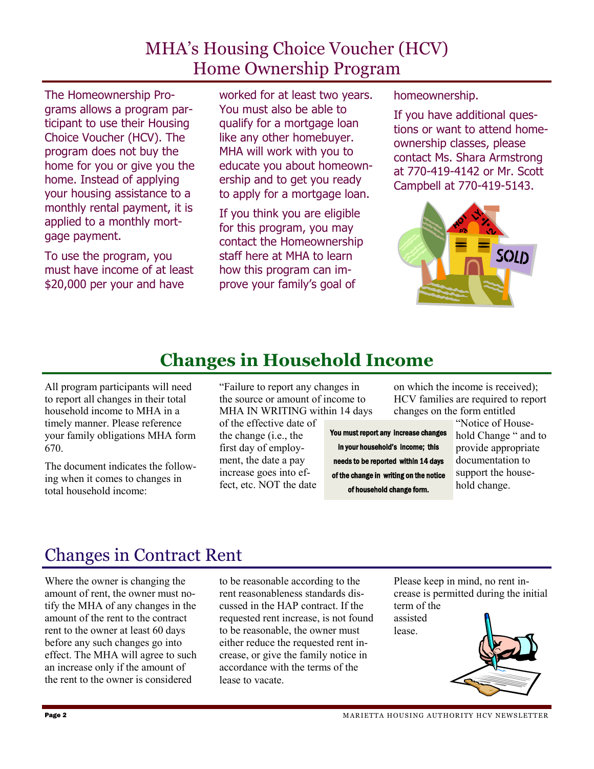### MHA's Housing Choice Voucher (HCV) Home Ownership Program

The Homeownership Programs allows a program participant to use their Housing Choice Voucher (HCV). The program does not buy the home for you or give you the home. Instead of applying your housing assistance to a monthly rental payment, it is applied to a monthly mortgage payment.

To use the program, you must have income of at least \$20,000 per your and have

worked for at least two years. You must also be able to qualify for a mortgage loan like any other homebuyer. MHA will work with you to educate you about homeownership and to get you ready to apply for a mortgage loan.

If you think you are eligible for this program, you may contact the Homeownership staff here at MHA to learn how this program can improve your family's goal of

homeownership.

If you have additional questions or want to attend homeownership classes, please contact Ms. Shara Armstrong at 770-419-4142 or Mr. Scott Campbell at 770-419-5143.



## **Changes in Household Income**

All program participants will need to report all changes in their total household income to MHA in a timely manner. Please reference your family obligations MHA form 670.

The document indicates the following when it comes to changes in total household income:

"Failure to report any changes in the source or amount of income to MHA IN WRITING within 14 days

of the effective date of the change (i.e., the first day of employment, the date a pay increase goes into effect, etc. NOT the date

You must report any increase changes in your household's income; this needs to be reported within 14 days of the change in writing on the notice of household change form.

on which the income is received); HCV families are required to report changes on the form entitled

"Notice of Household Change " and to provide appropriate documentation to support the household change.

### Changes in Contract Rent

Where the owner is changing the amount of rent, the owner must notify the MHA of any changes in the amount of the rent to the contract rent to the owner at least 60 days before any such changes go into effect. The MHA will agree to such an increase only if the amount of the rent to the owner is considered

to be reasonable according to the rent reasonableness standards discussed in the HAP contract. If the requested rent increase, is not found to be reasonable, the owner must either reduce the requested rent increase, or give the family notice in accordance with the terms of the lease to vacate.

Please keep in mind, no rent increase is permitted during the initial term of the

assisted lease.

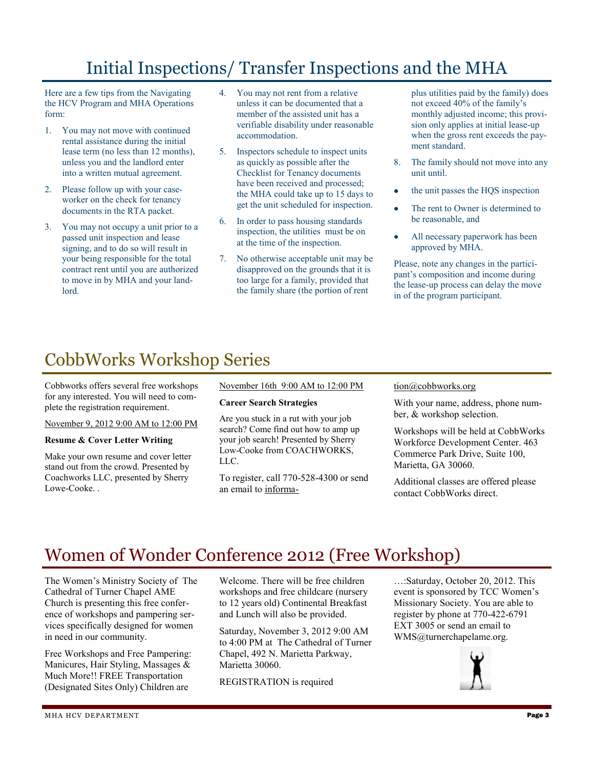### Initial Inspections/ Transfer Inspections and the MHA

Here are a few tips from the Navigating the HCV Program and MHA Operations form:

- 1. You may not move with continued rental assistance during the initial lease term (no less than 12 months), unless you and the landlord enter into a written mutual agreement.
- 2. Please follow up with your caseworker on the check for tenancy documents in the RTA packet.
- 3. You may not occupy a unit prior to a passed unit inspection and lease signing, and to do so will result in your being responsible for the total contract rent until you are authorized to move in by MHA and your landlord.
- 4. You may not rent from a relative unless it can be documented that a member of the assisted unit has a verifiable disability under reasonable accommodation.
- 5. Inspectors schedule to inspect units as quickly as possible after the Checklist for Tenancy documents have been received and processed; the MHA could take up to 15 days to get the unit scheduled for inspection.
- 6. In order to pass housing standards inspection, the utilities must be on at the time of the inspection.
- 7. No otherwise acceptable unit may be disapproved on the grounds that it is too large for a family, provided that the family share (the portion of rent

plus utilities paid by the family) does not exceed 40% of the family's monthly adjusted income; this provision only applies at initial lease-up when the gross rent exceeds the payment standard.

- 8. The family should not move into any unit until.
- the unit passes the HQS inspection
- The rent to Owner is determined to be reasonable, and
- All necessary paperwork has been approved by MHA.

Please, note any changes in the participant's composition and income during the lease-up process can delay the move in of the program participant.

## CobbWorks Workshop Series

Cobbworks offers several free workshops for any interested. You will need to complete the registration requirement.

November 9, 2012 9:00 AM to 12:00 PM

#### **Resume & Cover Letter Writing**

Make your own resume and cover letter stand out from the crowd. Presented by Coachworks LLC, presented by Sherry Lowe-Cooke. .

November 16th 9:00 AM to 12:00 PM

#### **Career Search Strategies**

Are you stuck in a rut with your job search? Come find out how to amp up your job search! Presented by Sherry Low-Cooke from COACHWORKS, LLC.

To register, call 770-528-4300 or send an email to informa-

#### tion@cobbworks.org

With your name, address, phone number, & workshop selection.

Workshops will be held at CobbWorks Workforce Development Center. 463 Commerce Park Drive, Suite 100, Marietta, GA 30060.

Additional classes are offered please contact CobbWorks direct.

### Women of Wonder Conference 2012 (Free Workshop)

The Women's Ministry Society of The Cathedral of Turner Chapel AME Church is presenting this free conference of workshops and pampering services specifically designed for women in need in our community.

Free Workshops and Free Pampering: Manicures, Hair Styling, Massages & Much More!! FREE Transportation (Designated Sites Only) Children are

Welcome. There will be free children workshops and free childcare (nursery to 12 years old) Continental Breakfast and Lunch will also be provided.

Saturday, November 3, 2012 9:00 AM to 4:00 PM at The Cathedral of Turner Chapel, 492 N. Marietta Parkway, Marietta 30060.

REGISTRATION is required

…:Saturday, October 20, 2012. This event is sponsored by TCC Women's Missionary Society. You are able to register by phone at 770-422-6791 EXT 3005 or send an email to WMS@turnerchapelame.org.